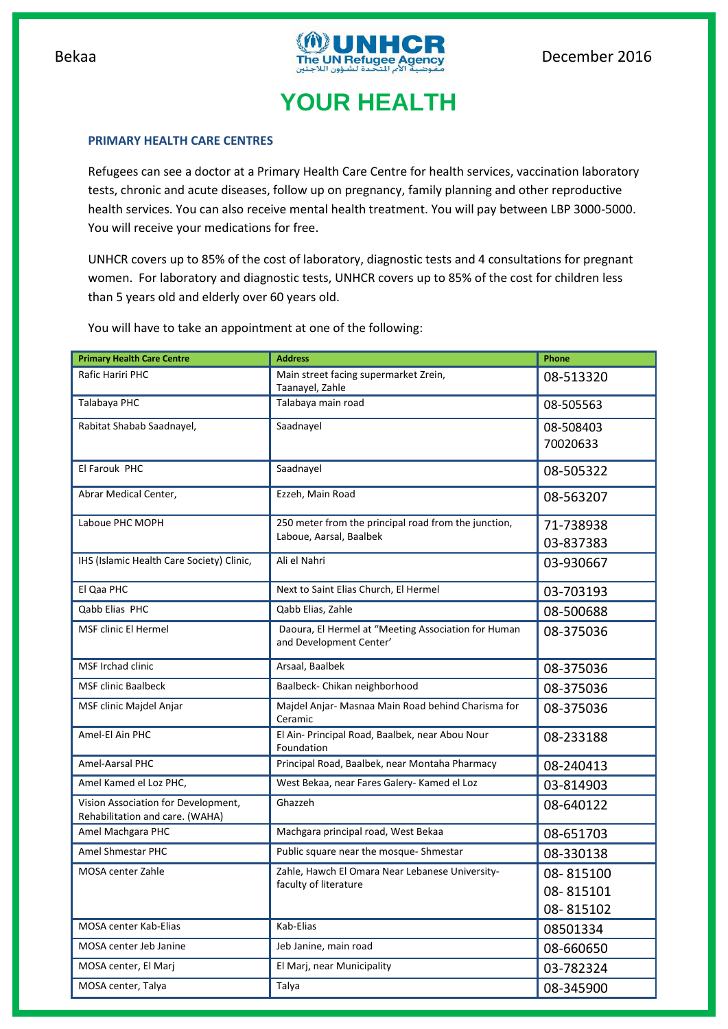

## **YOUR HEALTH**

## **PRIMARY HEALTH CARE CENTRES**

Refugees can see a doctor at a Primary Health Care Centre for health services, vaccination laboratory tests, chronic and acute diseases, follow up on pregnancy, family planning and other reproductive health services. You can also receive mental health treatment. You will pay between LBP 3000-5000. You will receive your medications for free.

UNHCR covers up to 85% of the cost of laboratory, diagnostic tests and 4 consultations for pregnant women. For laboratory and diagnostic tests, UNHCR covers up to 85% of the cost for children less than 5 years old and elderly over 60 years old.

You will have to take an appointment at one of the following:

| <b>Primary Health Care Centre</b>                                      | <b>Address</b>                                                                  | Phone                               |
|------------------------------------------------------------------------|---------------------------------------------------------------------------------|-------------------------------------|
| Rafic Hariri PHC                                                       | Main street facing supermarket Zrein,<br>Taanayel, Zahle                        | 08-513320                           |
| Talabaya PHC                                                           | Talabaya main road                                                              | 08-505563                           |
| Rabitat Shabab Saadnayel,                                              | Saadnayel                                                                       | 08-508403<br>70020633               |
| El Farouk PHC                                                          | Saadnayel                                                                       | 08-505322                           |
| Abrar Medical Center,                                                  | Ezzeh, Main Road                                                                | 08-563207                           |
| Laboue PHC MOPH                                                        | 250 meter from the principal road from the junction,<br>Laboue, Aarsal, Baalbek | 71-738938<br>03-837383              |
| IHS (Islamic Health Care Society) Clinic,                              | Ali el Nahri                                                                    | 03-930667                           |
| El Qaa PHC                                                             | Next to Saint Elias Church, El Hermel                                           | 03-703193                           |
| Qabb Elias PHC                                                         | Qabb Elias, Zahle                                                               | 08-500688                           |
| <b>MSF clinic El Hermel</b>                                            | Daoura, El Hermel at "Meeting Association for Human<br>and Development Center'  | 08-375036                           |
| <b>MSF Irchad clinic</b>                                               | Arsaal, Baalbek                                                                 | 08-375036                           |
| <b>MSF clinic Baalbeck</b>                                             | Baalbeck- Chikan neighborhood                                                   | 08-375036                           |
| MSF clinic Majdel Anjar                                                | Majdel Anjar- Masnaa Main Road behind Charisma for<br>Ceramic                   | 08-375036                           |
| Amel-El Ain PHC                                                        | El Ain- Principal Road, Baalbek, near Abou Nour<br>Foundation                   | 08-233188                           |
| Amel-Aarsal PHC                                                        | Principal Road, Baalbek, near Montaha Pharmacy                                  | 08-240413                           |
| Amel Kamed el Loz PHC,                                                 | West Bekaa, near Fares Galery- Kamed el Loz                                     | 03-814903                           |
| Vision Association for Development,<br>Rehabilitation and care. (WAHA) | Ghazzeh                                                                         | 08-640122                           |
| Amel Machgara PHC                                                      | Machgara principal road, West Bekaa                                             | 08-651703                           |
| Amel Shmestar PHC                                                      | Public square near the mosque-Shmestar                                          | 08-330138                           |
| MOSA center Zahle                                                      | Zahle, Hawch El Omara Near Lebanese University-<br>faculty of literature        | 08-815100<br>08-815101<br>08-815102 |
| MOSA center Kab-Elias                                                  | Kab-Elias                                                                       | 08501334                            |
| MOSA center Jeb Janine                                                 | Jeb Janine, main road                                                           | 08-660650                           |
| MOSA center, El Marj                                                   | El Marj, near Municipality                                                      | 03-782324                           |
| MOSA center, Talya                                                     | Talya                                                                           | 08-345900                           |